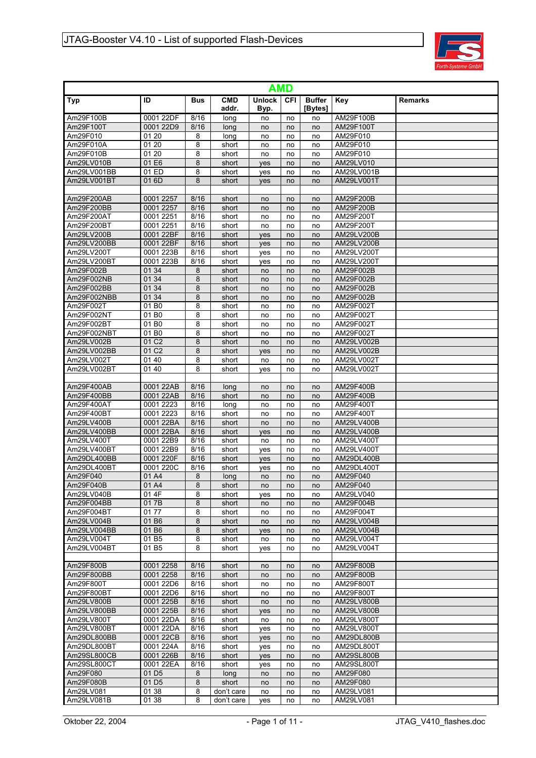

|                         | AMD                                    |            |                     |                       |            |                          |                        |                |  |  |  |  |
|-------------------------|----------------------------------------|------------|---------------------|-----------------------|------------|--------------------------|------------------------|----------------|--|--|--|--|
| Typ                     | ID                                     | <b>Bus</b> | <b>CMD</b><br>addr. | <b>Unlock</b><br>Byp. | <b>CFI</b> | <b>Buffer</b><br>[Bytes] | Key                    | <b>Remarks</b> |  |  |  |  |
| Am29F100B               | 0001 22DF                              | 8/16       | long                | no                    | no         | no                       | AM29F100B              |                |  |  |  |  |
| Am29F100T               | 0001 22D9                              | 8/16       | long                | no                    | no         | no                       | AM29F100T              |                |  |  |  |  |
| Am29F010                | 01 20                                  | 8          | long                | no                    | no         | no                       | AM29F010               |                |  |  |  |  |
| Am29F010A               | 01 20                                  | 8          | short               | no                    | no         | no                       | AM29F010               |                |  |  |  |  |
| Am29F010B               | 01 20                                  | 8          | short               | no                    | no         | no                       | AM29F010               |                |  |  |  |  |
| Am29LV010B              | 01 E6                                  | 8          | short               | yes                   | no         | no                       | AM29LV010              |                |  |  |  |  |
| Am29LV001BB             | 01 ED                                  | 8          | short               | yes                   | no         | no                       | AM29LV001B             |                |  |  |  |  |
| Am29LV001BT             | 01 6D                                  | 8          | short               | yes                   | no         | no                       | AM29LV001T             |                |  |  |  |  |
| Am29F200AB              | 0001 2257                              | 8/16       | short               | no                    | no         | no                       | AM29F200B              |                |  |  |  |  |
| Am29F200BB              | 0001 2257                              | 8/16       | short               | no                    | no         | no                       | AM29F200B              |                |  |  |  |  |
| Am29F200AT              | 0001 2251                              | 8/16       | short               | no                    | no         | no                       | AM29F200T              |                |  |  |  |  |
| Am29F200BT              | 0001 2251                              | 8/16       | short               | no                    | no         | no                       | AM29F200T              |                |  |  |  |  |
| Am29LV200B              | 0001 22BF                              | 8/16       | short               | yes                   | no         | no                       | AM29LV200B             |                |  |  |  |  |
| Am29LV200BB             | 0001 22BF                              | 8/16       | short               | yes                   | no         | no                       | AM29LV200B             |                |  |  |  |  |
| Am29LV200T              | 0001 223B                              | 8/16       | short               | yes                   | no         | no                       | AM29LV200T             |                |  |  |  |  |
| Am29LV200BT             | 0001 223B                              | 8/16       | short               | yes                   | no         | no                       | AM29LV200T             |                |  |  |  |  |
| Am29F002B               | 01 34                                  | 8          | short               | no                    | no         | no                       | AM29F002B              |                |  |  |  |  |
| Am29F002NB              | 01 34                                  | 8          | short               | no                    | no         | no                       | AM29F002B              |                |  |  |  |  |
| Am29F002BB              | 01 34<br>01 34                         | 8          | short               | no                    | no         | no                       | AM29F002B              |                |  |  |  |  |
| Am29F002NBB             |                                        | 8          | short               | no                    | no         | no                       | AM29F002B              |                |  |  |  |  |
| Am29F002T<br>Am29F002NT | 01 B <sub>0</sub><br>01 B <sub>0</sub> | 8<br>8     | short<br>short      | no                    | no         | no                       | AM29F002T<br>AM29F002T |                |  |  |  |  |
| Am29F002BT              | 01 B <sub>0</sub>                      | 8          |                     | no                    | no         | no                       | AM29F002T              |                |  |  |  |  |
| Am29F002NBT             | 01 B <sub>0</sub>                      | 8          | short<br>short      | no                    | no         | no<br>no                 | AM29F002T              |                |  |  |  |  |
| Am29LV002B              | 01 C <sub>2</sub>                      | 8          | short               | no<br>no              | no<br>no   | no                       | AM29LV002B             |                |  |  |  |  |
| Am29LV002BB             | 01 C <sub>2</sub>                      | 8          | short               |                       | no         | no                       | AM29LV002B             |                |  |  |  |  |
| Am29LV002T              | 01 40                                  | 8          | short               | yes<br>no             | no         | no                       | AM29LV002T             |                |  |  |  |  |
| Am29LV002BT             | 0140                                   | 8          | short               | ves                   | no         | no                       | AM29LV002T             |                |  |  |  |  |
|                         |                                        |            |                     |                       |            |                          |                        |                |  |  |  |  |
| Am29F400AB              | 0001 22AB                              | 8/16       | long                | no                    | no         | no                       | AM29F400B              |                |  |  |  |  |
| Am29F400BB              | 0001 22AB                              | 8/16       | short               | no                    | no         | no                       | AM29F400B              |                |  |  |  |  |
| Am29F400AT              | 0001 2223                              | 8/16       | long                | no                    | no         | no                       | AM29F400T              |                |  |  |  |  |
| Am29F400BT              | 0001 2223                              | 8/16       | short               | no                    | no         | no                       | AM29F400T              |                |  |  |  |  |
| Am29LV400B              | 0001 22BA                              | 8/16       | short               | no                    | no         | no                       | AM29LV400B             |                |  |  |  |  |
| Am29LV400BB             | 0001 22BA                              | 8/16       | short               | yes                   | no         | no                       | AM29LV400B             |                |  |  |  |  |
| Am29LV400T              | 0001 22B9                              | 8/16       | short               | no                    | no         | no                       | AM29LV400T             |                |  |  |  |  |
| Am29LV400BT             | 0001 22B9                              | 8/16       | short               | yes                   | no         | no                       | AM29LV400T             |                |  |  |  |  |
| Am29DL400BB             | 0001 220F                              | 8/16       | short               | yes                   | no         | no                       | AM29DL400B             |                |  |  |  |  |
| Am29DL400BT             | 0001 220C                              | 8/16       | short               | yes                   | no         | no                       | AM29DL400T             |                |  |  |  |  |
| Am29F040                | 01 A4                                  | 8          | long                | no                    | no         | no                       | AM29F040               |                |  |  |  |  |
| Am29F040B               | 01 A4                                  | 8          | short               | no                    | no         | no                       | AM29F040               |                |  |  |  |  |
| Am29LV040B              | 01 4F                                  | 8          | short               | yes                   | no         | no                       | AM29LV040              |                |  |  |  |  |
| Am29F004BB              | 017B                                   | 8          | short               | no                    | no         | no                       | AM29F004B              |                |  |  |  |  |
| Am29F004BT              | 0177                                   | 8          | short               | no                    | no         | no                       | AM29F004T              |                |  |  |  |  |
| Am29LV004B              | 01 B6                                  | 8          | short               | no                    | no         | no                       | AM29LV004B             |                |  |  |  |  |
| Am29LV004BB             | 01 B <sub>6</sub>                      | 8          | short               | yes                   | no         | no                       | AM29LV004B             |                |  |  |  |  |
| Am29LV004T              | 01 B5                                  | 8          | short               | no                    | no         | no                       | AM29LV004T             |                |  |  |  |  |
| Am29LV004BT             | 01 B5                                  | 8          | short               | yes                   | no         | no                       | AM29LV004T             |                |  |  |  |  |
| Am29F800B               | 0001 2258                              | 8/16       | short               | no                    | no         | no                       | AM29F800B              |                |  |  |  |  |
| Am29F800BB              | 0001 2258                              | 8/16       | short               | no                    | no         | no                       | AM29F800B              |                |  |  |  |  |
| Am29F800T               | 0001 22D6                              | 8/16       | short               | no                    | no         | no                       | AM29F800T              |                |  |  |  |  |
| Am29F800BT              | 0001 22D6                              | 8/16       | short               | no                    | no         | no                       | AM29F800T              |                |  |  |  |  |
| Am29LV800B              | 0001 225B                              | 8/16       | short               | no                    | no         | no                       | AM29LV800B             |                |  |  |  |  |
| Am29LV800BB             | 0001 225B                              | 8/16       | short               | yes                   | no         | no                       | AM29LV800B             |                |  |  |  |  |
| Am29LV800T              | 0001 22DA                              | 8/16       | short               | no                    | no         | no                       | AM29LV800T             |                |  |  |  |  |
| Am29LV800BT             | 0001 22DA                              | 8/16       | short               | yes                   | no         | no                       | AM29LV800T             |                |  |  |  |  |
| Am29DL800BB             | 0001 22CB                              | 8/16       | short               | <b>ves</b>            | no         | no                       | AM29DL800B             |                |  |  |  |  |
| Am29DL800BT             | 0001 224A                              | 8/16       | short               | yes                   | no         | no                       | AM29DL800T             |                |  |  |  |  |
| Am29SL800CB             | 0001 226B                              | 8/16       | short               | yes                   | no         | no                       | AM29SL800B             |                |  |  |  |  |
| Am29SL800CT             | 0001 22EA                              | 8/16       | short               | yes                   | no         | no                       | AM29SL800T             |                |  |  |  |  |
| Am29F080                | 01 D <sub>5</sub>                      | 8          | long                | no                    | no         | no                       | AM29F080               |                |  |  |  |  |
| Am29F080B               | 01 D <sub>5</sub>                      | 8          | short               | no                    | no         | no                       | AM29F080               |                |  |  |  |  |
| Am29LV081               | 01 38                                  | 8          | don't care          | no                    | no         | no                       | AM29LV081              |                |  |  |  |  |
| Am29LV081B              | 01 38                                  | 8          | don't care          | yes                   | no         | no                       | AM29LV081              |                |  |  |  |  |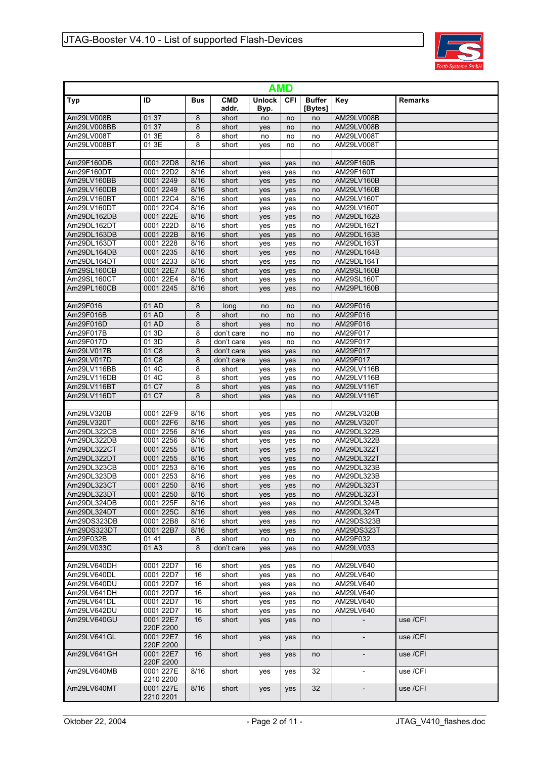

| <b>AMD</b>                 |                        |                           |                     |                       |            |                          |                          |                |  |  |  |  |
|----------------------------|------------------------|---------------------------|---------------------|-----------------------|------------|--------------------------|--------------------------|----------------|--|--|--|--|
| Typ                        | ID                     | <b>Bus</b>                | <b>CMD</b><br>addr. | <b>Unlock</b><br>Byp. | <b>CFI</b> | <b>Buffer</b><br>[Bytes] | Key                      | <b>Remarks</b> |  |  |  |  |
| Am29LV008B                 | 01 37                  | 8                         | short               | no                    | no         | no                       | AM29LV008B               |                |  |  |  |  |
| Am29LV008BB                | 01 37                  | 8                         | short               | yes                   | no         | no                       | AM29LV008B               |                |  |  |  |  |
| Am29LV008T                 | 01 3E                  | 8                         | short               | no                    | no         | no                       | AM29LV008T               |                |  |  |  |  |
| Am29LV008BT                | 01 3E                  | 8                         | short               | yes                   | no         | no                       | AM29LV008T               |                |  |  |  |  |
|                            |                        |                           |                     |                       |            |                          |                          |                |  |  |  |  |
| Am29F160DB                 | 0001 22D8              | 8/16                      | short               | yes                   | yes        | no                       | AM29F160B                |                |  |  |  |  |
| Am29F160DT                 | 0001 22D2              | $\overline{8/16}$<br>8/16 | short               | yes                   | yes        | no                       | AM29F160T                |                |  |  |  |  |
| Am29LV160BB<br>Am29LV160DB | 0001 2249<br>0001 2249 | 8/16                      | short<br>short      | yes                   | yes        | no                       | AM29LV160B<br>AM29LV160B |                |  |  |  |  |
| Am29LV160BT                | 0001 22C4              | 8/16                      | short               | yes<br>yes            | yes<br>yes | no<br>no                 | AM29LV160T               |                |  |  |  |  |
| Am29LV160DT                | 0001 22C4              | 8/16                      | short               | yes                   | yes        | no                       | AM29LV160T               |                |  |  |  |  |
| Am29DL162DB                | 0001 222E              | 8/16                      | short               | yes                   | yes        | no                       | AM29DL162B               |                |  |  |  |  |
| Am29DL162DT                | 0001 222D              | 8/16                      | short               | yes                   | yes        | no                       | AM29DL162T               |                |  |  |  |  |
| Am29DL163DB                | 0001 222B              | 8/16                      | short               | yes                   | yes        | no                       | AM29DL163B               |                |  |  |  |  |
| Am29DL163DT                | 0001 2228              | 8/16                      | short               | yes                   | yes        | no                       | AM29DL163T               |                |  |  |  |  |
| Am29DL164DB                | 0001 2235              | 8/16                      | short               | yes                   | yes        | no                       | AM29DL164B               |                |  |  |  |  |
| Am29DL164DT                | 0001 2233              | 8/16                      | short               | yes                   | yes        | no                       | AM29DL164T               |                |  |  |  |  |
| Am29SL160CB                | 0001 22E7              | 8/16                      | short               | yes                   | yes        | no                       | AM29SL160B               |                |  |  |  |  |
| Am29SL160CT                | 0001 22E4              | 8/16                      | short               | yes                   | yes        | no                       | AM29SL160T               |                |  |  |  |  |
| Am29PL160CB                | 0001 2245              | 8/16                      | short               | ves                   | ves        | no                       | AM29PL160B               |                |  |  |  |  |
|                            |                        |                           |                     |                       |            |                          |                          |                |  |  |  |  |
| Am29F016<br>Am29F016B      | 01 AD<br>01 AD         | 8<br>8                    | long                | no                    | no         | no                       | AM29F016<br>AM29F016     |                |  |  |  |  |
| Am29F016D                  | 01 AD                  | 8                         | short<br>short      | no                    | no<br>no   | no<br>no                 | AM29F016                 |                |  |  |  |  |
| Am29F017B                  | 01 3D                  | 8                         | don't care          | yes<br>no             | no         | no                       | AM29F017                 |                |  |  |  |  |
| Am29F017D                  | 01 3D                  | 8                         | don't care          | yes                   | no         | no                       | AM29F017                 |                |  |  |  |  |
| Am29LV017B                 | 01 C8                  | 8                         | don't care          | yes                   | yes        | no                       | AM29F017                 |                |  |  |  |  |
| Am29LV017D                 | 01 C8                  | 8                         | don't care          | yes                   | yes        | no                       | AM29F017                 |                |  |  |  |  |
| Am29LV116BB                | 01 4C                  | 8                         | short               | yes                   | yes        | no                       | AM29LV116B               |                |  |  |  |  |
| Am29LV116DB                | 01 4C                  | 8                         | short               | yes                   | yes        | no                       | AM29LV116B               |                |  |  |  |  |
| Am29LV116BT                | 01 C7                  | 8                         | short               | yes                   | yes        | no                       | AM29LV116T               |                |  |  |  |  |
| Am29LV116DT                | 01 C7                  | 8                         | short               | yes                   | ves        | no                       | AM29LV116T               |                |  |  |  |  |
|                            |                        |                           |                     |                       |            |                          |                          |                |  |  |  |  |
| Am29LV320B                 | 0001 22F9              | 8/16                      | short               | yes                   | yes        | no                       | AM29LV320B               |                |  |  |  |  |
| Am29LV320T<br>Am29DL322CB  | 0001 22F6<br>0001 2256 | 8/16<br>8/16              | short<br>short      | yes                   | yes<br>yes | no<br>no                 | AM29LV320T<br>AM29DL322B |                |  |  |  |  |
| Am29DL322DB                | 0001 2256              | 8/16                      | short               | yes<br>yes            | yes        | no                       | AM29DL322B               |                |  |  |  |  |
| Am29DL322CT                | 0001 2255              | 8/16                      | short               | yes                   | yes        | no                       | AM29DL322T               |                |  |  |  |  |
| Am29DL322DT                | 0001 2255              | 8/16                      | short               | yes                   | yes        | no                       | AM29DL322T               |                |  |  |  |  |
| Am29DL323CB                | 0001 2253              | 8/16                      | short               | yes                   | yes        | no                       | AM29DL323B               |                |  |  |  |  |
| Am29DL323DB                | 0001 2253              | 8/16                      | short               | yes                   | yes        | no                       | AM29DL323B               |                |  |  |  |  |
| Am29DL323CT                | 0001 2250              | 8/16                      | short               | <b>ves</b>            | ves        | no                       | AM29DL323T               |                |  |  |  |  |
| Am29DL323DT                | 0001 2250              | 8/16                      | short               | yes                   | yes        | no                       | AM29DL323T               |                |  |  |  |  |
| Am29DL324DB                | 0001 225F              | 8/16                      | short               | yes                   | yes        | no                       | AM29DL324B               |                |  |  |  |  |
| Am29DL324DT                | 0001 225C              | 8/16                      | short               | yes                   | yes        | no                       | AM29DL324T               |                |  |  |  |  |
| Am29DS323DB                | 0001 22B8              | 8/16                      | short               | yes                   | yes        | no                       | AM29DS323B               |                |  |  |  |  |
| Am29DS323DT                | 0001 22B7              | 8/16                      | short               | yes                   | yes        | no                       | AM29DS323T               |                |  |  |  |  |
| Am29F032B<br>Am29LV033C    | 01 41<br>01 A3         | 8<br>8                    | short<br>don't care | no                    | no         | no<br>no                 | AM29F032<br>AM29LV033    |                |  |  |  |  |
|                            |                        |                           |                     | yes                   | yes        |                          |                          |                |  |  |  |  |
| Am29LV640DH                | 0001 22D7              | 16                        | short               | yes                   | yes        | no                       | AM29LV640                |                |  |  |  |  |
| Am29LV640DL                | 0001 22D7              | 16                        | short               | yes                   | yes        | no                       | AM29LV640                |                |  |  |  |  |
| Am29LV640DU                | 0001 22D7              | 16                        | short               | yes                   | yes        | no                       | AM29LV640                |                |  |  |  |  |
| Am29LV641DH                | 0001 22D7              | 16                        | short               | yes                   | yes        | no                       | AM29LV640                |                |  |  |  |  |
| Am29LV641DL                | 0001 22D7              | 16                        | short               | yes                   | yes        | no                       | AM29LV640                |                |  |  |  |  |
| Am29LV642DU                | 0001 22D7              | 16                        | short               | yes                   | yes        | no                       | AM29LV640                |                |  |  |  |  |
| Am29LV640GU                | 0001 22E7<br>220F 2200 | 16                        | short               | yes                   | yes        | no                       |                          | use /CFI       |  |  |  |  |
| Am29LV641GL                | 0001 22E7<br>220F 2200 | 16                        | short               | yes                   | yes        | no                       |                          | use /CFI       |  |  |  |  |
| Am29LV641GH                | 0001 22E7<br>220F 2200 | 16                        | short               | yes                   | yes        | no                       |                          | use /CFI       |  |  |  |  |
| Am29LV640MB                | 0001 227E<br>2210 2200 | 8/16                      | short               | yes                   | yes        | 32                       |                          | use /CFI       |  |  |  |  |
| Am29LV640MT                | 0001 227E<br>2210 2201 | 8/16                      | short               | yes                   | yes        | 32                       | $\overline{\phantom{a}}$ | use /CFI       |  |  |  |  |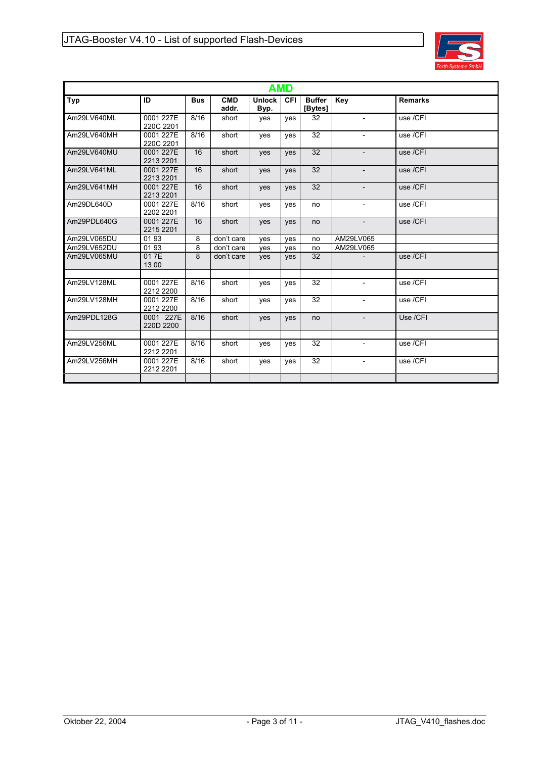

| <b>AMD</b>  |                        |            |              |                       |            |                          |                          |                |  |  |  |  |
|-------------|------------------------|------------|--------------|-----------------------|------------|--------------------------|--------------------------|----------------|--|--|--|--|
| Typ         | ID                     | <b>Bus</b> | CMD<br>addr. | <b>Unlock</b><br>Byp. | <b>CFI</b> | <b>Buffer</b><br>[Bytes] | Key                      | <b>Remarks</b> |  |  |  |  |
| Am29LV640ML | 0001 227E<br>220C 2201 | 8/16       | short        | yes                   | ves        | 32                       |                          | use /CFI       |  |  |  |  |
| Am29LV640MH | 0001 227E<br>220C 2201 | 8/16       | short        | yes                   | ves        | 32                       | $\overline{\phantom{a}}$ | use /CFI       |  |  |  |  |
| Am29LV640MU | 0001 227E<br>2213 2201 | 16         | short        | <b>ves</b>            | <b>ves</b> | 32                       |                          | use /CFI       |  |  |  |  |
| Am29LV641ML | 0001 227E<br>2213 2201 | 16         | short        | yes                   | <b>ves</b> | 32                       |                          | use /CFI       |  |  |  |  |
| Am29LV641MH | 0001 227E<br>2213 2201 | 16         | short        | <b>ves</b>            | <b>ves</b> | 32                       | $\overline{\phantom{a}}$ | use /CFI       |  |  |  |  |
| Am29DL640D  | 0001 227E<br>2202 2201 | 8/16       | short        | yes                   | yes        | no                       | $\overline{\phantom{a}}$ | use /CFI       |  |  |  |  |
| Am29PDL640G | 0001 227E<br>2215 2201 | 16         | short        | yes                   | yes        | no                       | $\overline{\phantom{a}}$ | use /CFI       |  |  |  |  |
| Am29LV065DU | 0193                   | 8          | don't care   | yes                   | ves        | no                       | AM29LV065                |                |  |  |  |  |
| Am29LV652DU | 0193                   | 8          | don't care   | yes                   | ves        | no                       | AM29LV065                |                |  |  |  |  |
| Am29LV065MU | 017E<br>13 00          | 8          | don't care   | yes                   | <b>ves</b> | 32                       |                          | use /CFI       |  |  |  |  |
|             |                        |            |              |                       |            |                          |                          |                |  |  |  |  |
| Am29LV128ML | 0001 227E<br>2212 2200 | 8/16       | short        | yes                   | ves        | 32                       |                          | use /CFI       |  |  |  |  |
| Am29LV128MH | 0001 227E<br>2212 2200 | 8/16       | short        | ves                   | ves        | 32                       | $\overline{\phantom{a}}$ | use /CFI       |  |  |  |  |
| Am29PDL128G | 0001 227E<br>220D 2200 | 8/16       | short        | yes                   | ves        | no                       | $\overline{\phantom{a}}$ | Use /CFI       |  |  |  |  |
|             |                        |            |              |                       |            |                          |                          |                |  |  |  |  |
| Am29LV256ML | 0001 227E<br>2212 2201 | 8/16       | short        | yes                   | ves        | 32                       |                          | use /CFI       |  |  |  |  |
| Am29LV256MH | 0001 227E<br>2212 2201 | 8/16       | short        | yes                   | ves        | 32                       | $\overline{\phantom{a}}$ | use /CFI       |  |  |  |  |
|             |                        |            |              |                       |            |                          |                          |                |  |  |  |  |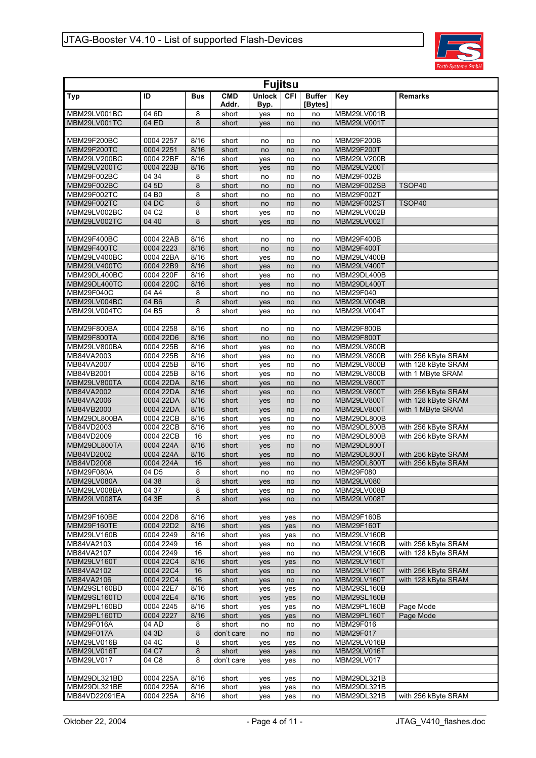

| <b>Fujitsu</b>              |                        |              |                     |                       |           |                          |                                  |                                            |  |  |  |
|-----------------------------|------------------------|--------------|---------------------|-----------------------|-----------|--------------------------|----------------------------------|--------------------------------------------|--|--|--|
| <b>Typ</b>                  | ID                     | <b>Bus</b>   | <b>CMD</b><br>Addr. | <b>Unlock</b><br>Byp. | CFI       | <b>Buffer</b><br>[Bytes] | <b>Key</b>                       | <b>Remarks</b>                             |  |  |  |
| MBM29LV001BC                | 04 6D                  | 8            | short               | yes                   | no        | no                       | MBM29LV001B                      |                                            |  |  |  |
| MBM29LV001TC                | 04 ED                  | 8            | short               | yes                   | no        | no                       | MBM29LV001T                      |                                            |  |  |  |
| MBM29F200BC                 | 0004 2257              | 8/16         | short               | no                    | no        | no                       | MBM29F200B                       |                                            |  |  |  |
| <b>MBM29F200TC</b>          | 0004 2251              | 8/16         | short               | no                    | no        | no                       | MBM29F200T                       |                                            |  |  |  |
| MBM29LV200BC                | 0004 22BF              | 8/16         | short               | yes                   | no        | no                       | MBM29LV200B                      |                                            |  |  |  |
| MBM29LV200TC                | 0004 223B              | 8/16         | short               | yes                   | no        | no                       | MBM29LV200T                      |                                            |  |  |  |
| MBM29F002BC                 | 04 34                  | 8            | short               | no                    | no        | no                       | MBM29F002B                       |                                            |  |  |  |
| MBM29F002BC                 | 04 5D                  | 8            | short               | no                    | no        | no                       | MBM29F002SB                      | TSOP40                                     |  |  |  |
| MBM29F002TC                 | 04 B <sub>0</sub>      | 8            | short               | no                    | no        | no                       | MBM29F002T                       |                                            |  |  |  |
| MBM29F002TC                 | 04 DC                  | 8            | short               | no                    | no        | no                       | MBM29F002ST                      | TSOP40                                     |  |  |  |
| MBM29LV002BC                | 04 C <sub>2</sub>      | 8            | short               | yes                   | no        | no                       | MBM29LV002B                      |                                            |  |  |  |
| MBM29LV002TC                | 04 40                  | 8            | short               | yes                   | no        | no                       | MBM29LV002T                      |                                            |  |  |  |
|                             |                        |              |                     |                       |           |                          |                                  |                                            |  |  |  |
| MBM29F400BC                 | 0004 22AB              | 8/16         | short               | no                    | no        | no                       | MBM29F400B                       |                                            |  |  |  |
| MBM29F400TC                 | 0004 2223              | 8/16         | short               | no                    | no        | no                       | <b>MBM29F400T</b>                |                                            |  |  |  |
| MBM29LV400BC                | 0004 22BA              | 8/16         | short               | yes                   | no        | no                       | MBM29LV400B                      |                                            |  |  |  |
| MBM29LV400TC                | 0004 22B9              | 8/16         | short               | yes                   | no        | no                       | MBM29LV400T                      |                                            |  |  |  |
| MBM29DL400BC                | 0004 220F              | 8/16         | short               | yes                   | no        | no                       | MBM29DL400B                      |                                            |  |  |  |
| MBM29DL400TC                | 0004 220C              | 8/16         | short               | yes                   | no        | no                       | MBM29DL400T                      |                                            |  |  |  |
| MBM29F040C                  | 04 A4                  | 8            | short               | no                    | no        | no                       | MBM29F040                        |                                            |  |  |  |
| MBM29LV004BC                | 04 B6                  | 8            | short               | yes                   | no        | no                       | MBM29LV004B                      |                                            |  |  |  |
| MBM29LV004TC                | 04 B5                  | 8            | short               | yes                   | no        | no                       | MBM29LV004T                      |                                            |  |  |  |
|                             |                        |              |                     |                       |           |                          |                                  |                                            |  |  |  |
| MBM29F800BA                 | 0004 2258              | 8/16         | short               | no                    | no        | no                       | MBM29F800B                       |                                            |  |  |  |
| MBM29F800TA<br>MBM29LV800BA | 0004 22D6<br>0004 225B | 8/16<br>8/16 | short               | no                    | no        | no                       | <b>MBM29F800T</b><br>MBM29LV800B |                                            |  |  |  |
| MB84VA2003                  | 0004 225B              | 8/16         | short               | yes                   | no        | no                       | MBM29LV800B                      |                                            |  |  |  |
| MB84VA2007                  | 0004 225B              | 8/16         | short<br>short      | yes                   | no<br>no  | no<br>no                 | MBM29LV800B                      | with 256 kByte SRAM<br>with 128 kByte SRAM |  |  |  |
| MB84VB2001                  | 0004 225B              | 8/16         | short               | yes<br>yes            | no        | no                       | MBM29LV800B                      | with 1 MByte SRAM                          |  |  |  |
| MBM29LV800TA                | 0004 22DA              | 8/16         | short               | yes                   | no        | no                       | MBM29LV800T                      |                                            |  |  |  |
| MB84VA2002                  | 0004 22DA              | 8/16         | short               | yes                   | no        | no                       | MBM29LV800T                      | with 256 kByte SRAM                        |  |  |  |
| MB84VA2006                  | 0004 22DA              | 8/16         | short               | yes                   | no        | no                       | MBM29LV800T                      | with 128 kByte SRAM                        |  |  |  |
| MB84VB2000                  | 0004 22DA              | 8/16         | short               | yes                   | no        | no                       | MBM29LV800T                      | with 1 MByte SRAM                          |  |  |  |
| MBM29DL800BA                | 0004 22CB              | 8/16         | short               | yes                   | no        | no                       | MBM29DL800B                      |                                            |  |  |  |
| MB84VD2003                  | 0004 22CB              | 8/16         | short               | yes                   | no        | no                       | MBM29DL800B                      | with 256 kByte SRAM                        |  |  |  |
| MB84VD2009                  | 0004 22CB              | 16           | short               | yes                   | no        | no                       | MBM29DL800B                      | with 256 kByte SRAM                        |  |  |  |
| MBM29DL800TA                | 0004 224A              | 8/16         | short               | yes                   | no        | no                       | MBM29DL800T                      |                                            |  |  |  |
| MB84VD2002                  | 0004 224A              | 8/16         | short               | yes                   | no        | no                       | MBM29DL800T                      | with 256 kByte SRAM                        |  |  |  |
| MB84VD2008                  | 0004 224A              | 16           | short               | yes                   | no        | no                       | MBM29DL800T                      | with 256 kByte SRAM                        |  |  |  |
| <b>MBM29F080A</b>           | 04 D <sub>5</sub>      | 8            | short               | no                    | no        | no                       | MBM29F080                        |                                            |  |  |  |
| MBM29LV080A                 | 04 38                  | $\bf 8$      | short               | yes                   | no        | no                       | <b>MBM29LV080</b>                |                                            |  |  |  |
| MBM29LV008BA                | 04 37                  | 8            | short               | yes                   | no        | no                       | MBM29LV008B                      |                                            |  |  |  |
| MBM29LV008TA                | 04 3E                  | 8            | short               | yes                   | no        | no                       | MBM29LV008T                      |                                            |  |  |  |
|                             |                        |              |                     |                       |           |                          |                                  |                                            |  |  |  |
| MBM29F160BE                 | 0004 22D8              | 8/16         | short               | yes                   | yes       | no                       | MBM29F160B                       |                                            |  |  |  |
| MBM29F160TE<br>MBM29LV160B  | 0004 22D2              | 8/16         | short               | yes                   | yes       | no                       | MBM29F160T                       |                                            |  |  |  |
| MB84VA2103                  | 0004 2249<br>0004 2249 | 8/16<br>16   | short<br>short      | yes                   | yes<br>no | no<br>no                 | MBM29LV160B<br>MBM29LV160B       | with 256 kByte SRAM                        |  |  |  |
| MB84VA2107                  | 0004 2249              | 16           | short               | yes                   | no        | no                       | MBM29LV160B                      | with 128 kByte SRAM                        |  |  |  |
| MBM29LV160T                 | 0004 22C4              | 8/16         | short               | yes<br>yes            | yes       | no                       | MBM29LV160T                      |                                            |  |  |  |
| MB84VA2102                  | 0004 22C4              | 16           | short               | yes                   | no        | no                       | MBM29LV160T                      | with 256 kByte SRAM                        |  |  |  |
| MB84VA2106                  | 0004 22C4              | 16           | short               | yes                   | no        | no                       | MBM29LV160T                      | with 128 kByte SRAM                        |  |  |  |
| MBM29SL160BD                | 0004 22E7              | 8/16         | short               | yes                   | yes       | no                       | <b>MBM29SL160B</b>               |                                            |  |  |  |
| MBM29SL160TD                | 0004 22E4              | 8/16         | short               | yes                   | yes       | no                       | <b>MBM29SL160B</b>               |                                            |  |  |  |
| MBM29PL160BD                | 0004 2245              | 8/16         | short               | yes                   | yes       | no                       | MBM29PL160B                      | Page Mode                                  |  |  |  |
| MBM29PL160TD                | 0004 2227              | 8/16         | short               | yes                   | yes       | no                       | MBM29PL160T                      | Page Mode                                  |  |  |  |
| MBM29F016A                  | 04 AD                  | 8            | short               | no                    | no        | no                       | MBM29F016                        |                                            |  |  |  |
| MBM29F017A                  | 04 3D                  | 8            | don't care          | no                    | no        | no                       | MBM29F017                        |                                            |  |  |  |
| MBM29LV016B                 | 04 4C                  | 8            | short               | yes                   | yes       | no                       | MBM29LV016B                      |                                            |  |  |  |
| MBM29LV016T                 | 04 C7                  | 8            | short               | yes                   | yes       | no                       | MBM29LV016T                      |                                            |  |  |  |
| MBM29LV017                  | 04 C8                  | 8            | don't care          | yes                   | yes       | no                       | MBM29LV017                       |                                            |  |  |  |
|                             |                        |              |                     |                       |           |                          |                                  |                                            |  |  |  |
| MBM29DL321BD                | 0004 225A              | 8/16         | short               | yes                   | yes       | no                       | MBM29DL321B                      |                                            |  |  |  |
| MBM29DL321BE                | 0004 225A              | 8/16         | short               | yes                   | yes       | no                       | MBM29DL321B                      |                                            |  |  |  |
| MB84VD22091EA               | 0004 225A              | 8/16         | short               | yes                   | yes       | no                       | MBM29DL321B                      | with 256 kByte SRAM                        |  |  |  |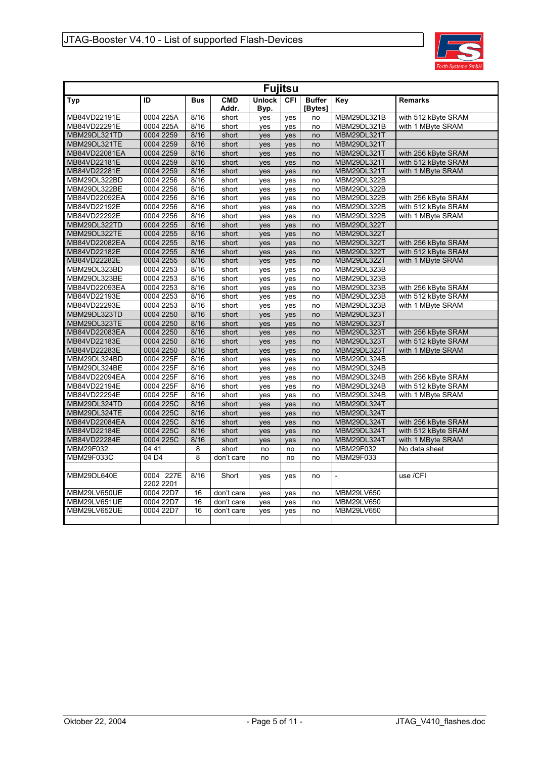

| <b>Fujitsu</b> |                        |            |                     |                       |            |                          |                |                     |  |  |  |  |
|----------------|------------------------|------------|---------------------|-----------------------|------------|--------------------------|----------------|---------------------|--|--|--|--|
| Typ            | ID                     | <b>Bus</b> | <b>CMD</b><br>Addr. | <b>Unlock</b><br>Byp. | <b>CFI</b> | <b>Buffer</b><br>[Bytes] | Key            | <b>Remarks</b>      |  |  |  |  |
| MB84VD22191E   | 0004 225A              | 8/16       | short               | yes                   | yes        | no                       | MBM29DL321B    | with 512 kByte SRAM |  |  |  |  |
| MB84VD22291E   | 0004 225A              | 8/16       | short               | yes                   | ves        | no                       | MBM29DL321B    | with 1 MByte SRAM   |  |  |  |  |
| MBM29DL321TD   | 0004 2259              | 8/16       | short               | yes                   | yes        | no                       | MBM29DL321T    |                     |  |  |  |  |
| MBM29DL321TE   | 0004 2259              | 8/16       | short               | yes                   | yes        | no                       | MBM29DL321T    |                     |  |  |  |  |
| MB84VD22081EA  | 0004 2259              | 8/16       | short               | yes                   | yes        | no                       | MBM29DL321T    | with 256 kByte SRAM |  |  |  |  |
| MB84VD22181E   | 0004 2259              | 8/16       | short               | yes                   | yes        | no                       | MBM29DL321T    | with 512 kByte SRAM |  |  |  |  |
| MB84VD22281E   | 0004 2259              | 8/16       | short               | yes                   | yes        | no                       | MBM29DL321T    | with 1 MByte SRAM   |  |  |  |  |
| MBM29DL322BD   | 0004 2256              | 8/16       | short               | yes                   | ves        | no                       | MBM29DL322B    |                     |  |  |  |  |
| MBM29DL322BE   | 0004 2256              | 8/16       | short               | yes                   | yes        | no                       | MBM29DL322B    |                     |  |  |  |  |
| MB84VD22092EA  | 0004 2256              | 8/16       | short               | yes                   | yes        | no                       | MBM29DL322B    | with 256 kByte SRAM |  |  |  |  |
| MB84VD22192E   | 0004 2256              | 8/16       | short               | yes                   | yes        | no                       | MBM29DL322B    | with 512 kByte SRAM |  |  |  |  |
| MB84VD22292E   | 0004 2256              | 8/16       | short               | yes                   | yes        | no                       | MBM29DL322B    | with 1 MByte SRAM   |  |  |  |  |
| MBM29DL322TD   | 0004 2255              | 8/16       | short               | yes                   | yes        | no                       | MBM29DL322T    |                     |  |  |  |  |
| MBM29DL322TE   | 0004 2255              | 8/16       | short               | yes                   | yes        | no                       | MBM29DL322T    |                     |  |  |  |  |
| MB84VD22082EA  | 0004 2255              | 8/16       | short               | yes                   | yes        | no                       | MBM29DL322T    | with 256 kByte SRAM |  |  |  |  |
| MB84VD22182E   | 0004 2255              | 8/16       | short               | yes                   | yes        | no                       | MBM29DL322T    | with 512 kByte SRAM |  |  |  |  |
| MB84VD22282E   | 0004 2255              | 8/16       | short               | yes                   | yes        | no                       | MBM29DL322T    | with 1 MByte SRAM   |  |  |  |  |
| MBM29DL323BD   | 0004 2253              | 8/16       | short               | ves                   | ves        | no                       | MBM29DL323B    |                     |  |  |  |  |
| MBM29DL323BE   | 0004 2253              | 8/16       | short               | yes                   | yes        | no                       | MBM29DL323B    |                     |  |  |  |  |
| MB84VD22093EA  | 0004 2253              | 8/16       | short               | ves                   | ves        | no                       | MBM29DL323B    | with 256 kByte SRAM |  |  |  |  |
| MB84VD22193E   | 0004 2253              | 8/16       | short               | yes                   | yes        | no                       | MBM29DL323B    | with 512 kByte SRAM |  |  |  |  |
| MB84VD22293E   | 0004 2253              | 8/16       | short               | ves                   | ves        | no                       | MBM29DL323B    | with 1 MByte SRAM   |  |  |  |  |
| MBM29DL323TD   | 0004 2250              | 8/16       | short               | yes                   | yes        | no                       | MBM29DL323T    |                     |  |  |  |  |
| MBM29DL323TE   | 0004 2250              | 8/16       | short               | yes                   | ves        | no                       | MBM29DL323T    |                     |  |  |  |  |
| MB84VD22083EA  | 0004 2250              | 8/16       | short               | yes                   | yes        | no                       | MBM29DL323T    | with 256 kByte SRAM |  |  |  |  |
| MB84VD22183E   | 0004 2250              | 8/16       | short               | yes                   | ves        | no                       | MBM29DL323T    | with 512 kByte SRAM |  |  |  |  |
| MB84VD22283E   | 0004 2250              | 8/16       | short               | yes                   | yes        | no                       | MBM29DL323T    | with 1 MByte SRAM   |  |  |  |  |
| MBM29DL324BD   | 0004 225F              | 8/16       | short               | yes                   | yes        | no                       | MBM29DL324B    |                     |  |  |  |  |
| MBM29DL324BE   | 0004 225F              | 8/16       | short               | yes                   | yes        | no                       | MBM29DL324B    |                     |  |  |  |  |
| MB84VD22094EA  | 0004 225F              | 8/16       | short               | yes                   | yes        | no                       | MBM29DL324B    | with 256 kByte SRAM |  |  |  |  |
| MB84VD22194E   | 0004 225F              | 8/16       | short               | yes                   | yes        | no                       | MBM29DL324B    | with 512 kBvte SRAM |  |  |  |  |
| MB84VD22294E   | 0004 225F              | 8/16       | short               | yes                   | yes        | no                       | MBM29DL324B    | with 1 MByte SRAM   |  |  |  |  |
| MBM29DL324TD   | 0004 225C              | 8/16       | short               | yes                   | ves        | no                       | MBM29DL324T    |                     |  |  |  |  |
| MBM29DL324TE   | 0004 225C              | 8/16       | short               | yes                   | yes        | no                       | MBM29DL324T    |                     |  |  |  |  |
| MB84VD22084EA  | 0004 225C              | 8/16       | short               | ves                   | ves        | no                       | MBM29DL324T    | with 256 kByte SRAM |  |  |  |  |
| MB84VD22184E   | 0004 225C              | 8/16       | short               | yes                   | yes        | no                       | MBM29DL324T    | with 512 kByte SRAM |  |  |  |  |
| MB84VD22284E   | 0004 225C              | 8/16       | short               | ves                   | ves        | no                       | MBM29DL324T    | with 1 MByte SRAM   |  |  |  |  |
| MBM29F032      | 04 41                  | 8          | short               | no                    | no         | no                       | MBM29F032      | No data sheet       |  |  |  |  |
| MBM29F033C     | 04 D4                  | 8          | don't care          | no                    | no         | no                       | MBM29F033      |                     |  |  |  |  |
|                |                        |            |                     |                       |            |                          |                |                     |  |  |  |  |
| MBM29DL640E    | 0004 227E<br>2202 2201 | 8/16       | Short               | ves                   | ves        | no                       | $\overline{a}$ | use /CFI            |  |  |  |  |
| MBM29LV650UE   | 0004 22D7              | 16         | don't care          | yes                   | yes        | no                       | MBM29LV650     |                     |  |  |  |  |
| MBM29LV651UE   | 0004 22D7              | 16         | don't care          | yes                   | ves        | no                       | MBM29LV650     |                     |  |  |  |  |
| MBM29LV652UE   | 0004 22D7              | 16         | don't care          | yes                   | yes        | no                       | MBM29LV650     |                     |  |  |  |  |
|                |                        |            |                     |                       |            |                          |                |                     |  |  |  |  |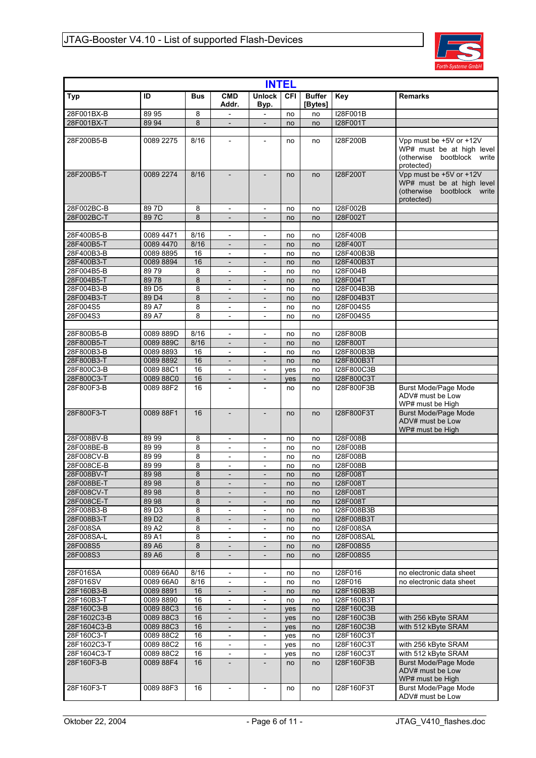

| <b>INTEL</b>              |                        |            |                                                |                                                      |            |                          |                          |                                                                                                     |  |  |  |  |
|---------------------------|------------------------|------------|------------------------------------------------|------------------------------------------------------|------------|--------------------------|--------------------------|-----------------------------------------------------------------------------------------------------|--|--|--|--|
| <b>Typ</b>                | ID                     | <b>Bus</b> | <b>CMD</b><br>Addr.                            | <b>Unlock</b><br>Byp.                                | <b>CFI</b> | <b>Buffer</b><br>[Bytes] | Key                      | <b>Remarks</b>                                                                                      |  |  |  |  |
| 28F001BX-B                | 89 95                  | 8          | $\overline{\phantom{0}}$                       | $\overline{\phantom{a}}$                             | no         | no                       | I28F001B                 |                                                                                                     |  |  |  |  |
| 28F001BX-T                | 89 94                  | 8          | $\overline{\phantom{m}}$                       | $\overline{\phantom{m}}$                             | no         | no                       | I28F001T                 |                                                                                                     |  |  |  |  |
| 28F200B5-B                | 0089 2275              | 8/16       | $\overline{\phantom{a}}$                       | $\overline{\phantom{a}}$                             | no         | no                       | I28F200B                 | Vpp must be +5V or +12V<br>WP# must be at high level<br>(otherwise bootblock write<br>protected)    |  |  |  |  |
| 28F200B5-T                | 0089 2274              | 8/16       |                                                |                                                      | no         | no                       | <b>I28F200T</b>          | Vpp must be +5V or +12V<br>WP# must be at high level<br>bootblock write<br>(otherwise<br>protected) |  |  |  |  |
| 28F002BC-B                | 89 7D                  | 8          | $\overline{\phantom{0}}$                       | $\overline{\phantom{a}}$                             | no         | no                       | I28F002B                 |                                                                                                     |  |  |  |  |
| 28F002BC-T                | 89 7C                  | 8          |                                                |                                                      | no         | no                       | <b>I28F002T</b>          |                                                                                                     |  |  |  |  |
| 28F400B5-B                | 0089 4471              | 8/16       | $\centerdot$                                   | $\overline{\phantom{a}}$                             | no         | no                       | I28F400B                 |                                                                                                     |  |  |  |  |
| 28F400B5-T                | 0089 4470              | 8/16       | $\overline{\phantom{a}}$                       | $\overline{\phantom{a}}$                             | no         | no                       | <b>I28F400T</b>          |                                                                                                     |  |  |  |  |
| 28F400B3-B                | 0089 8895              | 16         | $\overline{\phantom{0}}$                       | $\overline{\phantom{a}}$                             | no         | no                       | I28F400B3B               |                                                                                                     |  |  |  |  |
| 28F400B3-T                | 0089 8894              | 16         | $\overline{\phantom{m}}$                       | $\overline{\phantom{a}}$                             | no         | no                       | I28F400B3T               |                                                                                                     |  |  |  |  |
| 28F004B5-B                | 8979                   | 8          | $\centerdot$                                   | $\overline{\phantom{a}}$                             | no         | no                       | I28F004B                 |                                                                                                     |  |  |  |  |
| 28F004B5-T                | 8978                   | 8          | $\overline{\phantom{0}}$                       | $\overline{\phantom{a}}$                             | no         | no                       | I28F004T                 |                                                                                                     |  |  |  |  |
| 28F004B3-B                | 89 D <sub>5</sub>      | 8          | $\overline{a}$                                 | $\overline{\phantom{a}}$                             | no         | no                       | I28F004B3B               |                                                                                                     |  |  |  |  |
| 28F004B3-T                | 89 D4                  | 8          | $\overline{a}$                                 | $\overline{\phantom{a}}$                             | no         | no                       | I28F004B3T               |                                                                                                     |  |  |  |  |
| 28F004S5<br>28F004S3      | 89 A7<br>89 A7         | 8<br>8     | $\overline{\phantom{0}}$                       | $\overline{\phantom{a}}$                             | no         | no                       | I28F004S5<br>I28F004S5   |                                                                                                     |  |  |  |  |
|                           |                        |            | $\qquad \qquad \blacksquare$                   | $\overline{\phantom{a}}$                             | no         | no                       |                          |                                                                                                     |  |  |  |  |
| 28F800B5-B                | 0089 889D              | 8/16       | $\qquad \qquad -$                              | $\overline{\phantom{a}}$                             | no         | no                       | I28F800B                 |                                                                                                     |  |  |  |  |
| 28F800B5-T                | 0089 889C              | 8/16       | $\overline{\phantom{m}}$                       | $\overline{\phantom{a}}$                             | no         | no                       | <b>I28F800T</b>          |                                                                                                     |  |  |  |  |
| 28F800B3-B                | 0089 8893              | 16         | $\overline{\phantom{0}}$                       | $\frac{1}{2}$                                        | no         | no                       | I28F800B3B               |                                                                                                     |  |  |  |  |
| 28F800B3-T                | 0089 8892              | 16         | $\qquad \qquad \blacksquare$                   | $\overline{\phantom{a}}$                             | no         | no                       | I28F800B3T               |                                                                                                     |  |  |  |  |
| 28F800C3-B                | 0089 88C1              | 16         | $\qquad \qquad \blacksquare$                   | $\overline{\phantom{a}}$                             | yes        | no                       | I28F800C3B               |                                                                                                     |  |  |  |  |
| 28F800C3-T                | 0089 88C0              | 16         | $\overline{a}$                                 | $\overline{a}$                                       | yes        | no                       | <b>I28F800C3T</b>        |                                                                                                     |  |  |  |  |
| 28F800F3-B                | 0089 88F2              | 16         | $\overline{a}$                                 | $\overline{a}$                                       | no         | no                       | I28F800F3B               | <b>Burst Mode/Page Mode</b><br>ADV# must be Low<br>WP# must be High                                 |  |  |  |  |
| 28F800F3-T                | 0089 88F1              | 16         |                                                |                                                      | no         | no                       | <b>I28F800F3T</b>        | <b>Burst Mode/Page Mode</b><br>ADV# must be Low<br>WP# must be High                                 |  |  |  |  |
| 28F008BV-B                | 89 99                  | 8          | $\overline{\phantom{0}}$                       | $\overline{\phantom{a}}$                             | no         | no                       | I28F008B                 |                                                                                                     |  |  |  |  |
| 28F008BE-B<br>28F008CV-B  | 89 99<br>89 99         | 8<br>8     | $\overline{\phantom{0}}$                       | $\overline{\phantom{a}}$                             | no         | no                       | I28F008B<br>I28F008B     |                                                                                                     |  |  |  |  |
| 28F008CE-B                | 89 99                  | 8          | $\qquad \qquad \blacksquare$<br>$\overline{a}$ | $\overline{\phantom{a}}$<br>$\overline{a}$           | no<br>no   | no<br>no                 | I28F008B                 |                                                                                                     |  |  |  |  |
| 28F008BV-T                | 89 98                  | 8          | $\overline{\phantom{m}}$                       | $\overline{\phantom{a}}$                             | no         | no                       | <b>I28F008T</b>          |                                                                                                     |  |  |  |  |
| 28F008BE-T                | 89 98                  | $\bf 8$    |                                                | $\overline{\phantom{a}}$                             | no         | no                       | <b>I28F008T</b>          |                                                                                                     |  |  |  |  |
| 28F008CV-T                | 8998                   | 8          | $\overline{\phantom{m}}$                       | $\overline{\phantom{a}}$                             | no         | no                       | <b>I28F008T</b>          |                                                                                                     |  |  |  |  |
| 28F008CE-T                | 89 98                  | 8          | ۰                                              | $\overline{\phantom{a}}$                             | no         | no                       | <b>I28F008T</b>          |                                                                                                     |  |  |  |  |
| 28F008B3-B                | 89D3                   | 8          | $\overline{\phantom{0}}$                       | $\overline{\phantom{a}}$                             | no         | no                       | I28F008B3B               |                                                                                                     |  |  |  |  |
| 28F008B3-T                | 89 D <sub>2</sub>      | $\bf 8$    |                                                |                                                      | no         | no                       | I28F008B3T               |                                                                                                     |  |  |  |  |
| 28F008SA                  | 89 A2                  | 8          | $\overline{\phantom{0}}$                       | $\overline{\phantom{a}}$                             | no         | no                       | <b>I28F008SA</b>         |                                                                                                     |  |  |  |  |
| 28F008SA-L                | 89 A1                  | 8          | $\overline{\phantom{0}}$                       | $\overline{\phantom{a}}$                             | no         | no                       | <b>I28F008SAL</b>        |                                                                                                     |  |  |  |  |
| 28F008S5<br>28F008S3      | 89 A6<br>89 A6         | 8<br>8     | $\overline{a}$<br>$\qquad \qquad \blacksquare$ | $\overline{a}$<br>$\overline{\phantom{a}}$           | no<br>no   | no<br>no                 | I28F008S5<br>I28F008S5   |                                                                                                     |  |  |  |  |
|                           |                        |            |                                                |                                                      |            |                          |                          |                                                                                                     |  |  |  |  |
| 28F016SA                  | 0089 66A0              | 8/16       | $\overline{\phantom{0}}$                       | $\overline{\phantom{a}}$                             | no         | no                       | I28F016                  | no electronic data sheet                                                                            |  |  |  |  |
| 28F016SV                  | 0089 66A0              | 8/16       | $\qquad \qquad -$                              | $\overline{\phantom{a}}$                             | no         | no                       | I28F016                  | no electronic data sheet                                                                            |  |  |  |  |
| 28F160B3-B                | 0089 8891              | 16         |                                                |                                                      | no         | no                       | I28F160B3B               |                                                                                                     |  |  |  |  |
| 28F160B3-T                | 0089 8890              | 16         | $\overline{a}$                                 | $\overline{\phantom{a}}$                             | no         | no                       | I28F160B3T               |                                                                                                     |  |  |  |  |
| 28F160C3-B                | 008988C3               | 16         | $\qquad \qquad \blacksquare$                   | $\overline{\phantom{a}}$                             | yes        | no                       | I28F160C3B               |                                                                                                     |  |  |  |  |
| 28F1602C3-B               | 0089 88C3              | 16         |                                                |                                                      | yes        | no                       | I28F160C3B               | with 256 kByte SRAM                                                                                 |  |  |  |  |
| 28F1604C3-B<br>28F160C3-T | 0089 88C3<br>0089 88C2 | 16<br>16   | $\overline{a}$<br>$\overline{\phantom{0}}$     | $\overline{\phantom{a}}$<br>$\overline{\phantom{a}}$ | yes        | no<br>no                 | I28F160C3B<br>I28F160C3T | with 512 kByte SRAM                                                                                 |  |  |  |  |
| 28F1602C3-T               | 0089 88C2              | 16         | $\overline{a}$                                 |                                                      | yes<br>yes | no                       | I28F160C3T               | with 256 kByte SRAM                                                                                 |  |  |  |  |
| 28F1604C3-T               | 0089 88C2              | 16         | $\overline{\phantom{0}}$                       | $\overline{\phantom{a}}$                             | yes        | no                       | I28F160C3T               | with 512 kByte SRAM                                                                                 |  |  |  |  |
| 28F160F3-B                | 0089 88F4              | 16         | $\overline{\phantom{m}}$                       | $\overline{\phantom{a}}$                             | no         | no                       | I28F160F3B               | <b>Burst Mode/Page Mode</b><br>ADV# must be Low<br>WP# must be High                                 |  |  |  |  |
| 28F160F3-T                | 0089 88F3              | 16         |                                                |                                                      | no         | no                       | I28F160F3T               | <b>Burst Mode/Page Mode</b><br>ADV# must be Low                                                     |  |  |  |  |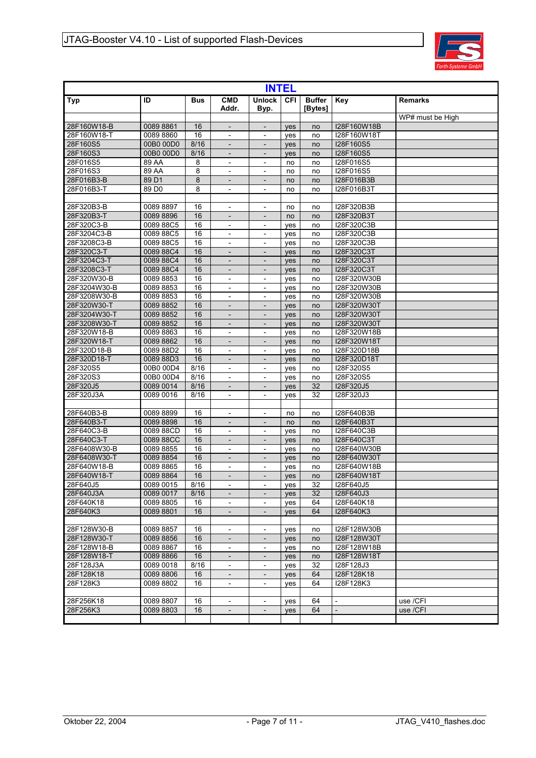

| <b>INTEL</b> |                   |            |                          |                          |            |                          |                          |                  |  |  |  |
|--------------|-------------------|------------|--------------------------|--------------------------|------------|--------------------------|--------------------------|------------------|--|--|--|
| Typ          | ID                | <b>Bus</b> | <b>CMD</b><br>Addr.      | <b>Unlock</b><br>Byp.    | CFI        | <b>Buffer</b><br>[Bytes] | Key                      | <b>Remarks</b>   |  |  |  |
|              |                   |            |                          |                          |            |                          |                          | WP# must be High |  |  |  |
| 28F160W18-B  | 0089 8861         | 16         |                          |                          | yes        | no                       | I28F160W18B              |                  |  |  |  |
| 28F160W18-T  | 0089 8860         | 16         |                          |                          | yes        | no                       | I28F160W18T              |                  |  |  |  |
| 28F160S5     | 00B0 00D0         | 8/16       | $\overline{\phantom{a}}$ | $\overline{\phantom{a}}$ | yes        | no                       | I28F160S5                |                  |  |  |  |
| 28F160S3     | 00B0 00D0         | 8/16       | $\overline{\phantom{a}}$ |                          | yes        | no                       | I28F160S5                |                  |  |  |  |
| 28F016S5     | 89 AA             | 8          | $\overline{\phantom{a}}$ | $\overline{\phantom{a}}$ | no         | no                       | I28F016S5                |                  |  |  |  |
| 28F016S3     | 89 AA             | 8          | $\overline{\phantom{a}}$ | $\overline{\phantom{a}}$ | no         | no                       | I28F016S5                |                  |  |  |  |
| 28F016B3-B   | 89 D1             | 8          | $\overline{\phantom{a}}$ | $\overline{\phantom{a}}$ | no         | no                       | I28F016B3B               |                  |  |  |  |
| 28F016B3-T   | 89 D <sub>0</sub> | 8          | $\overline{\phantom{a}}$ | $\overline{\phantom{a}}$ | no         | no                       | I28F016B3T               |                  |  |  |  |
| 28F320B3-B   | 0089 8897         | 16         | $\overline{\phantom{a}}$ | $\overline{a}$           | no         | no                       | I28F320B3B               |                  |  |  |  |
| 28F320B3-T   | 0089 8896         | 16         | $\overline{\phantom{a}}$ | $\overline{\phantom{a}}$ | no         | no                       | I28F320B3T               |                  |  |  |  |
| 28F320C3-B   | 0089 88C5         | 16         | $\overline{\phantom{a}}$ | $\overline{\phantom{a}}$ | yes        | no                       | 128F320C3B               |                  |  |  |  |
| 28F3204C3-B  | 0089 88C5         | 16         | $\overline{\phantom{a}}$ | $\overline{\phantom{a}}$ | yes        | no                       | I28F320C3B               |                  |  |  |  |
| 28F3208C3-B  | 0089 88C5         | 16         | $\overline{\phantom{a}}$ | $\overline{\phantom{a}}$ | yes        | no                       | I28F320C3B               |                  |  |  |  |
| 28F320C3-T   | 0089 88C4         | 16         | $\overline{\phantom{a}}$ | $\overline{\phantom{a}}$ | yes        | no                       | I28F320C3T               |                  |  |  |  |
| 28F3204C3-T  | 0089 88C4         | 16         |                          |                          | yes        | no                       | I28F320C3T               |                  |  |  |  |
| 28F3208C3-T  | 0089 88C4         | 16         | $\overline{a}$           | $\overline{\phantom{a}}$ | yes        | no                       | I28F320C3T               |                  |  |  |  |
| 28F320W30-B  | 0089 8853         | 16         | $\overline{\phantom{a}}$ | $\overline{\phantom{a}}$ | yes        | no                       | I28F320W30B              |                  |  |  |  |
| 28F3204W30-B | 0089 8853         | 16         | $\overline{\phantom{a}}$ | $\overline{\phantom{0}}$ | yes        | no                       | I28F320W30B              |                  |  |  |  |
| 28F3208W30-B | 0089 8853         | 16         | $\frac{1}{2}$            | $\overline{\phantom{a}}$ | yes        | no                       | I28F320W30B              |                  |  |  |  |
| 28F320W30-T  | 0089 8852         | 16         | $\overline{\phantom{a}}$ | $\overline{a}$           | yes        | no                       | I28F320W30T              |                  |  |  |  |
| 28F3204W30-T | 0089 8852         | 16         |                          | $\overline{\phantom{0}}$ | yes        | no                       | I28F320W30T              |                  |  |  |  |
| 28F3208W30-T | 0089 8852         | 16         | $\frac{1}{2}$            | $\frac{1}{2}$            | yes        | no                       | I28F320W30T              |                  |  |  |  |
| 28F320W18-B  | 0089 8863         | 16         | $\overline{\phantom{a}}$ | $\overline{\phantom{a}}$ | yes        | no                       | I28F320W18B              |                  |  |  |  |
| 28F320W18-T  | 0089 8862         | 16         |                          |                          | <b>ves</b> | no                       | I28F320W18T              |                  |  |  |  |
| 28F320D18-B  | 0089 88D2         | 16         | $\blacksquare$           | $\overline{\phantom{a}}$ | yes        | no                       | I28F320D18B              |                  |  |  |  |
| 28F320D18-T  | 0089 88D3         | 16         | $\overline{\phantom{a}}$ | $\overline{\phantom{a}}$ | yes        | no                       | I28F320D18T              |                  |  |  |  |
| 28F320S5     | 00B0 00D4         | 8/16       |                          |                          | yes        | no                       | I28F320S5                |                  |  |  |  |
| 28F320S3     | 00B0 00D4         | 8/16       | $\overline{\phantom{a}}$ | $\overline{\phantom{a}}$ | yes        | no                       | I28F320S5                |                  |  |  |  |
| 28F320J5     | 0089 0014         | 8/16       | $\overline{\phantom{a}}$ | $\overline{\phantom{a}}$ | yes        | 32                       | I28F320J5                |                  |  |  |  |
| 28F320J3A    | 0089 0016         | 8/16       | $\overline{\phantom{a}}$ |                          | yes        | 32                       | I28F320J3                |                  |  |  |  |
|              |                   |            |                          |                          |            |                          |                          |                  |  |  |  |
| 28F640B3-B   | 00898899          | 16         | $\overline{\phantom{a}}$ | $\overline{a}$           | no         | no                       | I28F640B3B               |                  |  |  |  |
| 28F640B3-T   | 0089 8898         | 16         |                          |                          | no         | no                       | I28F640B3T               |                  |  |  |  |
| 28F640C3-B   | 0089 88CD         | 16         | $\overline{\phantom{a}}$ | $\overline{\phantom{a}}$ | yes        | no                       | I28F640C3B               |                  |  |  |  |
| 28F640C3-T   | 0089 88CC         | 16         | $\overline{\phantom{a}}$ | $\overline{\phantom{a}}$ | yes        | no                       | I28F640C3T               |                  |  |  |  |
| 28F6408W30-B | 0089 8855         | 16         | $\overline{\phantom{a}}$ | $\overline{a}$           | yes        | no                       | I28F640W30B              |                  |  |  |  |
| 28F6408W30-T | 0089 8854         | 16         | $\overline{\phantom{a}}$ | $\overline{\phantom{a}}$ | yes        | no                       | I28F640W30T              |                  |  |  |  |
| 28F640W18-B  | 0089 8865         | 16         | $\overline{\phantom{a}}$ | $\overline{a}$           | yes        | no                       | I28F640W18B              |                  |  |  |  |
| 28F640W18-T  | 00898864          | 16         | $\overline{a}$           | $\overline{\phantom{0}}$ | yes        | no                       | I28F640W18T              |                  |  |  |  |
| 28F640J5     | 0089 0015         | 8/16       | $\overline{\phantom{a}}$ | $\overline{\phantom{a}}$ | ves        | 32                       | I28F640J5                |                  |  |  |  |
| 28F640J3A    | 0089 0017         | 8/16       | $\overline{\phantom{a}}$ | $\overline{\phantom{a}}$ | yes        | 32                       | I28F640J3                |                  |  |  |  |
| 28F640K18    | 0089 8805         | 16         |                          |                          | yes        | 64                       | I28F640K18               |                  |  |  |  |
| 28F640K3     | 0089 8801         | 16         | $\overline{\phantom{a}}$ | $\overline{\phantom{a}}$ | yes        | 64                       | I28F640K3                |                  |  |  |  |
|              |                   |            |                          |                          |            |                          |                          |                  |  |  |  |
| 28F128W30-B  | 0089 8857         | 16         |                          |                          | yes        | no                       | I28F128W30B              |                  |  |  |  |
| 28F128W30-T  | 0089 8856         | 16         | $\overline{\phantom{a}}$ | $\overline{\phantom{a}}$ | yes        | no                       | I28F128W30T              |                  |  |  |  |
| 28F128W18-B  | 0089 8867         | 16         | $\overline{\phantom{a}}$ | $\overline{\phantom{0}}$ | yes        | no                       | I28F128W18B              |                  |  |  |  |
| 28F128W18-T  | 0089 8866         | 16         |                          |                          | yes        | no                       | I28F128W18T              |                  |  |  |  |
| 28F128J3A    | 0089 0018         | 8/16       | $\overline{\phantom{a}}$ | $\overline{\phantom{a}}$ | yes        | 32                       | I28F128J3                |                  |  |  |  |
| 28F128K18    | 0089 8806         | 16         | $\overline{\phantom{a}}$ | $\overline{\phantom{a}}$ | yes        | 64                       | I28F128K18               |                  |  |  |  |
| 28F128K3     | 0089 8802         | 16         | $\overline{\phantom{a}}$ | $\overline{\phantom{a}}$ | yes        | 64                       | I28F128K3                |                  |  |  |  |
|              |                   |            |                          |                          |            |                          |                          |                  |  |  |  |
| 28F256K18    | 0089 8807         | 16         | $\overline{\phantom{a}}$ | $\overline{\phantom{0}}$ | yes        | 64                       | $\overline{\phantom{a}}$ | use /CFI         |  |  |  |
| 28F256K3     | 0089 8803         | 16         |                          |                          | yes        | 64                       | $\overline{a}$           | use /CFI         |  |  |  |
|              |                   |            |                          |                          |            |                          |                          |                  |  |  |  |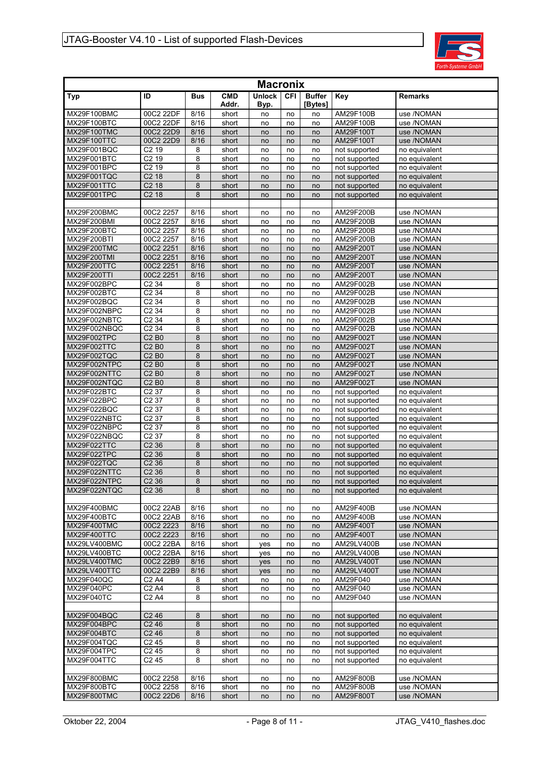

| <b>Macronix</b>             |                                                    |              |                     |                       |            |                          |                                |                                |  |  |  |  |
|-----------------------------|----------------------------------------------------|--------------|---------------------|-----------------------|------------|--------------------------|--------------------------------|--------------------------------|--|--|--|--|
| Typ                         | ID                                                 | Bus          | <b>CMD</b><br>Addr. | <b>Unlock</b><br>Byp. | <b>CFI</b> | <b>Buffer</b><br>[Bytes] | Key                            | <b>Remarks</b>                 |  |  |  |  |
| MX29F100BMC                 | 00C2 22DF                                          | 8/16         | short               | no                    | no         | no                       | AM29F100B                      | use /NOMAN                     |  |  |  |  |
| MX29F100BTC                 | 00C2 22DF                                          | 8/16         | short               | no                    | no         | no                       | AM29F100B                      | use /NOMAN                     |  |  |  |  |
| MX29F100TMC                 | 00C2 22D9                                          | 8/16         | short               | no                    | no         | no                       | AM29F100T                      | use /NOMAN                     |  |  |  |  |
| MX29F100TTC                 | 00C2 22D9                                          | 8/16         | short               | no                    | no         | no                       | AM29F100T                      | use /NOMAN                     |  |  |  |  |
| MX29F001BQC                 | C <sub>2</sub> 19                                  | 8            | short               | no                    | no         | no                       | not supported                  | no equivalent                  |  |  |  |  |
| MX29F001BTC<br>MX29F001BPC  | C2 <sub>19</sub><br>$C2$ 19                        | 8<br>8       | short<br>short      | no                    | no         | no                       | not supported                  | no equivalent<br>no equivalent |  |  |  |  |
| MX29F001TQC                 | C <sub>2</sub> 18                                  | 8            | short               | no<br>no              | no<br>no   | no<br>no                 | not supported<br>not supported | no equivalent                  |  |  |  |  |
| MX29F001TTC                 | C <sub>2</sub> 18                                  | 8            | short               | no                    | no         | no                       | not supported                  | no equivalent                  |  |  |  |  |
| MX29F001TPC                 | C <sub>2</sub> 18                                  | 8            | short               | no                    | no         | no                       | not supported                  | no equivalent                  |  |  |  |  |
|                             |                                                    |              |                     |                       |            |                          |                                |                                |  |  |  |  |
| MX29F200BMC                 | 00C2 2257                                          | 8/16         | short               | no                    | no         | no                       | AM29F200B                      | use /NOMAN                     |  |  |  |  |
| MX29F200BMI                 | 00C2 2257                                          | 8/16         | short               | no                    | no         | no                       | AM29F200B                      | use /NOMAN                     |  |  |  |  |
| MX29F200BTC                 | 00C2 2257                                          | 8/16         | short               | no                    | no         | no                       | AM29F200B                      | use /NOMAN                     |  |  |  |  |
| MX29F200BTI                 | 00C2 2257                                          | 8/16         | short               | no                    | no         | no                       | AM29F200B                      | use /NOMAN                     |  |  |  |  |
| MX29F200TMC                 | 00C2 2251                                          | 8/16         | short               | no                    | no         | no                       | AM29F200T                      | use /NOMAN                     |  |  |  |  |
| MX29F200TMI                 | 00C2 2251                                          | 8/16         | short               | no                    | no         | no                       | AM29F200T                      | use /NOMAN                     |  |  |  |  |
| MX29F200TTC<br>MX29F200TTI  | 00C2 2251<br>00C2 2251                             | 8/16<br>8/16 | short               | no                    | no         | no                       | AM29F200T                      | use /NOMAN<br>use /NOMAN       |  |  |  |  |
| MX29F002BPC                 | C <sub>2</sub> 34                                  | 8            | short<br>short      | no<br>no              | no<br>no   | no<br>no                 | AM29F200T<br>AM29F002B         | use /NOMAN                     |  |  |  |  |
| MX29F002BTC                 | C <sub>2</sub> 34                                  | 8            | short               | no                    | no         | no                       | AM29F002B                      | use /NOMAN                     |  |  |  |  |
| MX29F002BQC                 | C <sub>2</sub> 34                                  | 8            | short               | no                    | no         | no                       | AM29F002B                      | use /NOMAN                     |  |  |  |  |
| MX29F002NBPC                | C <sub>2</sub> 34                                  | 8            | short               | no                    | no         | no                       | AM29F002B                      | use /NOMAN                     |  |  |  |  |
| MX29F002NBTC                | C <sub>2</sub> 34                                  | 8            | short               | no                    | no         | no                       | AM29F002B                      | use /NOMAN                     |  |  |  |  |
| MX29F002NBQC                | C <sub>2</sub> 34                                  | 8            | short               | no                    | no         | no                       | AM29F002B                      | use /NOMAN                     |  |  |  |  |
| MX29F002TPC                 | <b>C2B0</b>                                        | 8            | short               | no                    | no         | no                       | AM29F002T                      | use /NOMAN                     |  |  |  |  |
| MX29F002TTC                 | <b>C2B0</b>                                        | 8            | short               | no                    | no         | no                       | AM29F002T                      | use /NOMAN                     |  |  |  |  |
| MX29F002TQC                 | <b>C2B0</b>                                        | 8            | short               | no                    | no         | no                       | AM29F002T                      | use /NOMAN                     |  |  |  |  |
| MX29F002NTPC                | <b>C2B0</b>                                        | 8            | short               | no                    | no         | no                       | AM29F002T                      | use /NOMAN                     |  |  |  |  |
| MX29F002NTTC                | C <sub>2</sub> B <sub>0</sub>                      | 8            | short               | no                    | no         | no                       | AM29F002T                      | use /NOMAN                     |  |  |  |  |
| MX29F002NTQC<br>MX29F022BTC | C <sub>2</sub> B <sub>0</sub><br>C <sub>2</sub> 37 | 8<br>8       | short<br>short      | no<br>no              | no<br>no   | no<br>no                 | AM29F002T<br>not supported     | use /NOMAN<br>no equivalent    |  |  |  |  |
| MX29F022BPC                 | C <sub>2</sub> 37                                  | 8            | short               | no                    | no         | no                       | not supported                  | no equivalent                  |  |  |  |  |
| MX29F022BQC                 | C <sub>2</sub> 37                                  | 8            | short               | no                    | no         | no                       | not supported                  | no equivalent                  |  |  |  |  |
| MX29F022NBTC                | C <sub>2</sub> 37                                  | 8            | short               | no                    | no         | no                       | not supported                  | no equivalent                  |  |  |  |  |
| MX29F022NBPC                | C <sub>2</sub> 37                                  | 8            | short               | no                    | no         | no                       | not supported                  | no equivalent                  |  |  |  |  |
| MX29F022NBQC                | C <sub>2</sub> 37                                  | 8            | short               | no                    | no         | no                       | not supported                  | no equivalent                  |  |  |  |  |
| MX29F022TTC                 | C <sub>2</sub> 36                                  | 8            | short               | no                    | no         | no                       | not supported                  | no equivalent                  |  |  |  |  |
| MX29F022TPC                 | C <sub>2</sub> 36                                  | 8            | short               | no                    | no         | no                       | not supported                  | no equivalent                  |  |  |  |  |
| MX29F022TQC<br>MX29F022NTTC | C <sub>2</sub> 36<br>C <sub>2</sub> 36             | 8<br>8       | short               | no                    | no         | no                       | not supported                  | no equivalent                  |  |  |  |  |
| MX29F022NTPC                | C236                                               | 8            | short<br>short      | no<br>no              | no<br>no   | no<br>no                 | not supported                  | no equivalent<br>no equivalent |  |  |  |  |
| MX29F022NTQC                | C <sub>2</sub> 36                                  | 8            | short               | no                    | no         | no                       | not supported<br>not supported | no equivalent                  |  |  |  |  |
|                             |                                                    |              |                     |                       |            |                          |                                |                                |  |  |  |  |
| MX29F400BMC                 | 00C2 22AB                                          | 8/16         | short               | no                    | no         | no                       | AM29F400B                      | use /NOMAN                     |  |  |  |  |
| MX29F400BTC                 | 00C2 22AB                                          | 8/16         | short               | no                    | no         | no                       | AM29F400B                      | use /NOMAN                     |  |  |  |  |
| MX29F400TMC                 | 00C2 2223                                          | 8/16         | short               | no                    | no         | no                       | AM29F400T                      | use /NOMAN                     |  |  |  |  |
| MX29F400TTC                 | 00C2 2223                                          | 8/16         | short               | no                    | no         | no                       | AM29F400T                      | use /NOMAN                     |  |  |  |  |
| MX29LV400BMC                | 00C2 22BA                                          | 8/16         | short               | yes                   | no         | no                       | AM29LV400B                     | use /NOMAN                     |  |  |  |  |
| MX29LV400BTC                | 00C2 22BA                                          | 8/16         | short               | yes                   | no         | no                       | AM29LV400B                     | use /NOMAN                     |  |  |  |  |
| MX29LV400TMC                | 00C2 22B9                                          | 8/16         | short               | yes                   | no         | no                       | AM29LV400T                     | use /NOMAN                     |  |  |  |  |
| MX29LV400TTC<br>MX29F040QC  | 00C2 22B9<br>C <sub>2</sub> A <sub>4</sub>         | 8/16<br>8    | short               | yes                   | no         | no                       | AM29LV400T<br>AM29F040         | use /NOMAN<br>use /NOMAN       |  |  |  |  |
| MX29F040PC                  | C <sub>2</sub> A <sub>4</sub>                      | 8            | short<br>short      | no<br>no              | no<br>no   | no<br>no                 | AM29F040                       | use /NOMAN                     |  |  |  |  |
| MX29F040TC                  | C <sub>2</sub> A <sub>4</sub>                      | 8            | short               | no                    | no         | no                       | AM29F040                       | use /NOMAN                     |  |  |  |  |
|                             |                                                    |              |                     |                       |            |                          |                                |                                |  |  |  |  |
| MX29F004BQC                 | C <sub>2</sub> 46                                  | 8            | short               | no                    | no         | no                       | not supported                  | no equivalent                  |  |  |  |  |
| MX29F004BPC                 | C <sub>2</sub> 46                                  | 8            | short               | no                    | no         | no                       | not supported                  | no equivalent                  |  |  |  |  |
| MX29F004BTC                 | C <sub>2</sub> 46                                  | 8            | short               | no                    | no         | no                       | not supported                  | no equivalent                  |  |  |  |  |
| MX29F004TQC                 | C <sub>2</sub> 45                                  | 8            | short               | no                    | no         | no                       | not supported                  | no equivalent                  |  |  |  |  |
| MX29F004TPC                 | C <sub>2</sub> 45                                  | 8            | short               | no                    | no         | no                       | not supported                  | no equivalent                  |  |  |  |  |
| MX29F004TTC                 | C <sub>2</sub> 45                                  | 8            | short               | no                    | no         | no                       | not supported                  | no equivalent                  |  |  |  |  |
|                             |                                                    |              |                     |                       |            |                          |                                |                                |  |  |  |  |
| MX29F800BMC                 | 00C2 2258                                          | 8/16         | short               | no                    | no         | no                       | AM29F800B                      | use /NOMAN                     |  |  |  |  |
| MX29F800BTC<br>MX29F800TMC  | 00C2 2258<br>00C2 22D6                             | 8/16<br>8/16 | short               | no                    | no         | no                       | AM29F800B<br>AM29F800T         | use /NOMAN<br>use /NOMAN       |  |  |  |  |
|                             |                                                    |              | short               | no                    | no         | no                       |                                |                                |  |  |  |  |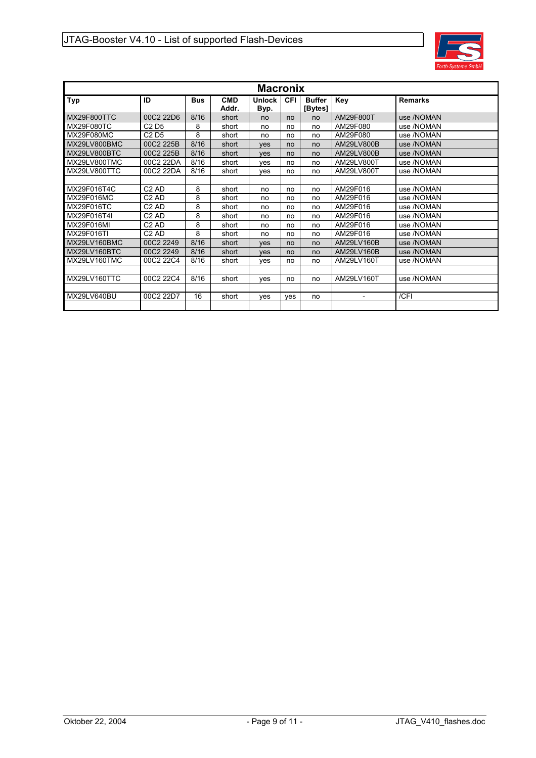

| <b>Macronix</b>   |                               |            |                     |                       |            |                          |                |                |  |  |  |  |
|-------------------|-------------------------------|------------|---------------------|-----------------------|------------|--------------------------|----------------|----------------|--|--|--|--|
| Typ               | ID                            | <b>Bus</b> | <b>CMD</b><br>Addr. | <b>Unlock</b><br>Byp. | <b>CFI</b> | <b>Buffer</b><br>[Bytes] | Key            | <b>Remarks</b> |  |  |  |  |
| MX29F800TTC       | 00C2 22D6                     | 8/16       | short               | no                    | no         | no                       | AM29F800T      | use /NOMAN     |  |  |  |  |
| <b>MX29F080TC</b> | C <sub>2</sub> D <sub>5</sub> | 8          | short               | no                    | no         | no                       | AM29F080       | use /NOMAN     |  |  |  |  |
| MX29F080MC        | C <sub>2</sub> D <sub>5</sub> | 8          | short               | no                    | no         | no                       | AM29F080       | use /NOMAN     |  |  |  |  |
| MX29LV800BMC      | 00C2 225B                     | 8/16       | short               | <b>ves</b>            | no         | no                       | AM29LV800B     | use /NOMAN     |  |  |  |  |
| MX29LV800BTC      | 00C2 225B                     | 8/16       | short               | <b>ves</b>            | no         | no                       | AM29LV800B     | use /NOMAN     |  |  |  |  |
| MX29LV800TMC      | 00C2 22DA                     | 8/16       | short               | ves                   | no         | no                       | AM29LV800T     | use /NOMAN     |  |  |  |  |
| MX29LV800TTC      | 00C2 22DA                     | 8/16       | short               | ves                   | no         | no                       | AM29LV800T     | use /NOMAN     |  |  |  |  |
|                   |                               |            |                     |                       |            |                          |                |                |  |  |  |  |
| MX29F016T4C       | C <sub>2</sub> AD             | 8          | short               | no                    | no         | no                       | AM29F016       | use /NOMAN     |  |  |  |  |
| MX29F016MC        | C <sub>2</sub> AD             | 8          | short               | no                    | no         | no                       | AM29F016       | use /NOMAN     |  |  |  |  |
| MX29F016TC        | C2AD                          | 8          | short               | no                    | no         | no                       | AM29F016       | use /NOMAN     |  |  |  |  |
| MX29F016T4I       | C2AD                          | 8          | short               | no                    | no         | no                       | AM29F016       | use /NOMAN     |  |  |  |  |
| MX29F016MI        | C <sub>2</sub> AD             | 8          | short               | no                    | no         | no                       | AM29F016       | use /NOMAN     |  |  |  |  |
| MX29F016TI        | C2AD                          | 8          | short               | no                    | no         | no                       | AM29F016       | use /NOMAN     |  |  |  |  |
| MX29LV160BMC      | 00C2 2249                     | 8/16       | short               | <b>ves</b>            | no         | no                       | AM29LV160B     | use /NOMAN     |  |  |  |  |
| MX29LV160BTC      | 00C2 2249                     | 8/16       | short               | <b>ves</b>            | no         | no                       | AM29LV160B     | use /NOMAN     |  |  |  |  |
| MX29LV160TMC      | 00C2 22C4                     | 8/16       | short               | yes                   | no         | no                       | AM29LV160T     | use /NOMAN     |  |  |  |  |
|                   |                               |            |                     |                       |            |                          |                |                |  |  |  |  |
| MX29LV160TTC      | 00C2 22C4                     | 8/16       | short               | yes                   | no         | no                       | AM29LV160T     | use /NOMAN     |  |  |  |  |
|                   |                               |            |                     |                       |            |                          |                |                |  |  |  |  |
| MX29LV640BU       | 00C2 22D7                     | 16         | short               | ves                   | ves        | no                       | $\blacksquare$ | /CFI           |  |  |  |  |
|                   |                               |            |                     |                       |            |                          |                |                |  |  |  |  |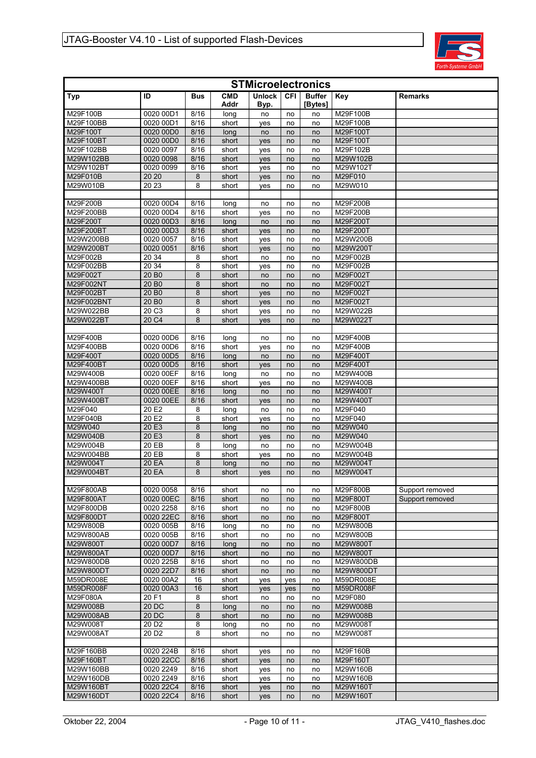

| <b>STMicroelectronics</b> |                        |              |                    |                       |          |                          |                      |                 |  |  |  |  |
|---------------------------|------------------------|--------------|--------------------|-----------------------|----------|--------------------------|----------------------|-----------------|--|--|--|--|
| <b>Typ</b>                | ID                     | <b>Bus</b>   | <b>CMD</b><br>Addr | <b>Unlock</b><br>Byp. | CFI      | <b>Buffer</b><br>[Bytes] | Key                  | Remarks         |  |  |  |  |
| M29F100B                  | 0020 00D1              | 8/16         | long               | no                    | no       | no                       | M29F100B             |                 |  |  |  |  |
| M29F100BB                 | 0020 00D1              | 8/16         | short              | yes                   | no       | no                       | M29F100B             |                 |  |  |  |  |
| M29F100T                  | 0020 00D0              | 8/16         | long               | no                    | no       | no                       | M29F100T             |                 |  |  |  |  |
| M29F100BT                 | 0020 00D0              | 8/16         | short              | yes                   | no       | no                       | M29F100T             |                 |  |  |  |  |
| M29F102BB                 | 0020 0097              | 8/16         | short              | yes                   | no       | no                       | M29F102B             |                 |  |  |  |  |
| M29W102BB                 | 0020 0098              | 8/16         | short              | yes                   | no       | no                       | M29W102B             |                 |  |  |  |  |
| M29W102BT                 | 0020 0099              | 8/16         | short              | yes                   | no       | no                       | M29W102T             |                 |  |  |  |  |
| M29F010B                  | 20 20                  | 8            | short              | yes                   | no       | no                       | M29F010              |                 |  |  |  |  |
| M29W010B                  | 20 23                  | 8            | short              | yes                   | no       | no                       | M29W010              |                 |  |  |  |  |
|                           |                        |              |                    |                       |          |                          |                      |                 |  |  |  |  |
| M29F200B                  | 0020 00D4              | 8/16         | long               | no                    | no       | no                       | M29F200B             |                 |  |  |  |  |
| M29F200BB                 | 0020 00D4              | 8/16         | short              | yes                   | no       | no                       | M29F200B             |                 |  |  |  |  |
| M29F200T                  | 0020 00D3              | 8/16         | long               | no                    | no       | no                       | M29F200T             |                 |  |  |  |  |
| M29F200BT                 | 0020 00D3              | 8/16         | short              | yes                   | no       | no                       | M29F200T             |                 |  |  |  |  |
| M29W200BB<br>M29W200BT    | 0020 0057<br>0020 0051 | 8/16<br>8/16 | short              | yes                   | no       | no                       | M29W200B<br>M29W200T |                 |  |  |  |  |
| M29F002B                  |                        |              | short              | yes                   | no       | no                       | M29F002B             |                 |  |  |  |  |
| M29F002BB                 | 20 34<br>20 34         | 8<br>8       | short<br>short     | no                    | no<br>no | no<br>no                 | M29F002B             |                 |  |  |  |  |
| M29F002T                  | 20 B <sub>0</sub>      | 8            | short              | yes<br>no             | no       | no                       | M29F002T             |                 |  |  |  |  |
| M29F002NT                 | 20 B <sub>0</sub>      | 8            | short              |                       | no       | no                       | M29F002T             |                 |  |  |  |  |
| M29F002BT                 | 20 B <sub>0</sub>      | 8            | short              | no<br>yes             | no       | no                       | M29F002T             |                 |  |  |  |  |
| M29F002BNT                | 20 B <sub>0</sub>      | 8            | short              | yes                   | no       | no                       | M29F002T             |                 |  |  |  |  |
| M29W022BB                 | 20 C3                  | 8            | short              | yes                   | no       | no                       | M29W022B             |                 |  |  |  |  |
| M29W022BT                 | 20 C4                  | 8            | short              | yes                   | no       | no                       | M29W022T             |                 |  |  |  |  |
|                           |                        |              |                    |                       |          |                          |                      |                 |  |  |  |  |
| M29F400B                  | 0020 00D6              | 8/16         | long               | no                    | no       | no                       | M29F400B             |                 |  |  |  |  |
| M29F400BB                 | 0020 00D6              | 8/16         | short              | yes                   | no       | no                       | M29F400B             |                 |  |  |  |  |
| M29F400T                  | 0020 00D5              | 8/16         | long               | no                    | no       | no                       | M29F400T             |                 |  |  |  |  |
| M29F400BT                 | 0020 00D5              | 8/16         | short              | yes                   | no       | no                       | M29F400T             |                 |  |  |  |  |
| M29W400B                  | 0020 00EF              | 8/16         | long               | no                    | no       | no                       | M29W400B             |                 |  |  |  |  |
| M29W400BB                 | 0020 00EF              | 8/16         | short              | yes                   | no       | no                       | M29W400B             |                 |  |  |  |  |
| M29W400T                  | 0020 00EE              | 8/16         | long               | no                    | no       | no                       | M29W400T             |                 |  |  |  |  |
| M29W400BT                 | 0020 00EE              | 8/16         | short              | yes                   | no       | no                       | M29W400T             |                 |  |  |  |  |
| M29F040                   | 20 E2                  | 8            | long               | no                    | no       | no                       | M29F040              |                 |  |  |  |  |
| M29F040B                  | 20 E2                  | 8            | short              | yes                   | no       | no                       | M29F040              |                 |  |  |  |  |
| M29W040                   | 20 E3                  | 8            | long               | no                    | no       | no                       | M29W040              |                 |  |  |  |  |
| M29W040B                  | 20 E3                  | 8            | short              | yes                   | no       | no                       | M29W040              |                 |  |  |  |  |
| M29W004B                  | 20 EB                  | 8            | long               | no                    | no       | no                       | M29W004B             |                 |  |  |  |  |
| M29W004BB                 | 20 EB                  | 8            | short              | yes                   | no       | no                       | M29W004B             |                 |  |  |  |  |
| M29W004T                  | 20 EA                  | 8            | long               | no                    | no       | no                       | M29W004T             |                 |  |  |  |  |
| M29W004BT                 | 20 EA                  | 8            | short              | yes                   | no       | no                       | M29W004T             |                 |  |  |  |  |
|                           |                        |              |                    |                       |          |                          |                      |                 |  |  |  |  |
| M29F800AB                 | 0020 0058              | 8/16         | short              | no                    | no       | no                       | M29F800B             | Support removed |  |  |  |  |
| M29F800AT                 | 0020 00EC              | 8/16         | short              | no                    | no       | no                       | M29F800T             | Support removed |  |  |  |  |
| M29F800DB                 | 0020 2258              | 8/16         | short              | no                    | no       | no                       | M29F800B             |                 |  |  |  |  |
| M29F800DT<br>M29W800B     | 0020 22EC<br>0020 005B | 8/16<br>8/16 | short              | no                    | no       | no                       | M29F800T<br>M29W800B |                 |  |  |  |  |
| M29W800AB                 | 0020 005B              | 8/16         | long<br>short      | no                    | no       | no                       | M29W800B             |                 |  |  |  |  |
| M29W800T                  | 0020 00D7              | 8/16         | long               | no                    | no<br>no | no<br>no                 | M29W800T             |                 |  |  |  |  |
| M29W800AT                 | 0020 00D7              | 8/16         | short              | no<br>no              | no       | no                       | M29W800T             |                 |  |  |  |  |
| M29W800DB                 | 0020 225B              | 8/16         | short              | no                    | no       | no                       | M29W800DB            |                 |  |  |  |  |
| M29W800DT                 | 0020 22D7              | 8/16         | short              | no                    | no       | no                       | M29W800DT            |                 |  |  |  |  |
| M59DR008E                 | 0020 00A2              | 16           | short              | yes                   | yes      | no                       | M59DR008E            |                 |  |  |  |  |
| M59DR008F                 | 0020 00A3              | 16           | short              | <b>ves</b>            | yes      | no                       | M59DR008F            |                 |  |  |  |  |
| M29F080A                  | 20 F1                  | 8            | short              | no                    | no       | no                       | M29F080              |                 |  |  |  |  |
| M29W008B                  | 20 DC                  | 8            | long               | no                    | no       | no                       | M29W008B             |                 |  |  |  |  |
| M29W008AB                 | 20 DC                  | 8            | short              | no                    | no       | no                       | M29W008B             |                 |  |  |  |  |
| M29W008T                  | 20 D <sub>2</sub>      | 8            | long               | no                    | no       | no                       | M29W008T             |                 |  |  |  |  |
| M29W008AT                 | 20 D <sub>2</sub>      | 8            | short              | no                    | no       | no                       | M29W008T             |                 |  |  |  |  |
|                           |                        |              |                    |                       |          |                          |                      |                 |  |  |  |  |
| M29F160BB                 | 0020 224B              | 8/16         | short              | yes                   | no       | no                       | M29F160B             |                 |  |  |  |  |
| M29F160BT                 | 0020 22CC              | 8/16         | short              | yes                   | no       | no                       | M29F160T             |                 |  |  |  |  |
| M29W160BB                 | 0020 2249              | 8/16         | short              | yes                   | no       | no                       | M29W160B             |                 |  |  |  |  |
| M29W160DB                 | 0020 2249              | 8/16         | short              | yes                   | no       | no                       | M29W160B             |                 |  |  |  |  |
| M29W160BT                 | 0020 22C4              | 8/16         | short              | yes                   | no       | no                       | M29W160T             |                 |  |  |  |  |
| M29W160DT                 | 0020 22C4              | 8/16         | short              | yes                   | no       | no                       | M29W160T             |                 |  |  |  |  |